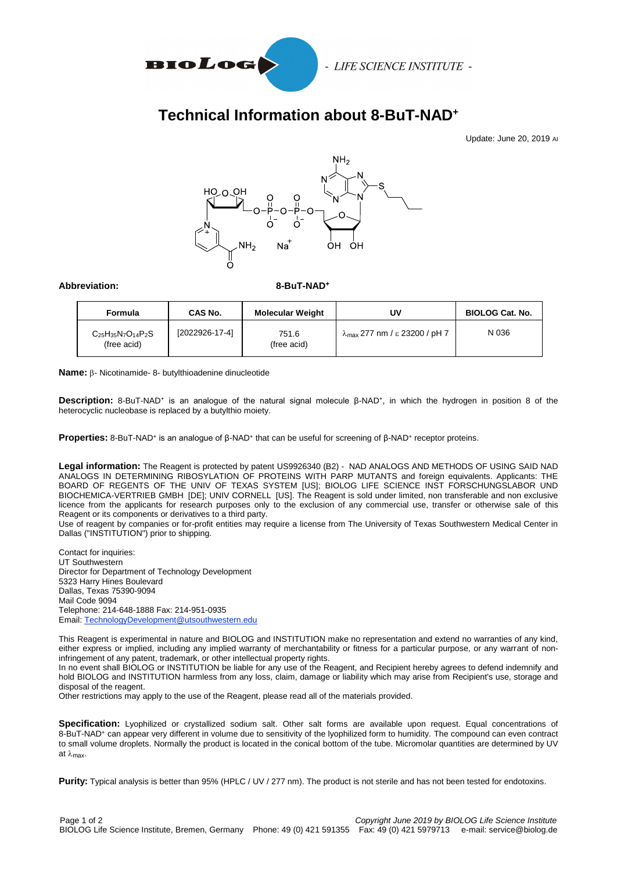

- LIFE SCIENCE INSTITUTE -

## **Technical Information about 8-BuT-NAD<sup>+</sup>**

Update: June 20, 2019 AI



## Abbreviation: 8-BuT-NAD<sup>+</sup>

| Formula                                    | CAS No.          | <b>Molecular Weight</b> | U٧                                             | <b>BIOLOG Cat. No.</b> |
|--------------------------------------------|------------------|-------------------------|------------------------------------------------|------------------------|
| $C_{25}H_{35}N_7O_{14}P_2S$<br>(free acid) | $[2022926-17-4]$ | 751.6<br>(free acid)    | $\lambda_{\text{max}}$ 277 nm / ε 23200 / pH 7 | N 036                  |

**Name:** β- Nicotinamide- 8- butylthioadenine dinucleotide

Description: 8-BuT-NAD<sup>+</sup> is an analogue of the natural signal molecule β-NAD<sup>+</sup>, in which the hydrogen in position 8 of the heterocyclic nucleobase is replaced by a butylthio moiety.

Properties: 8-BuT-NAD<sup>+</sup> is an analogue of β-NAD<sup>+</sup> that can be useful for screening of β-NAD<sup>+</sup> receptor proteins.

**Legal information:** The Reagent is protected by patent US9926340 (B2) - NAD ANALOGS AND METHODS OF USING SAID NAD ANALOGS IN DETERMINING RIBOSYLATION OF PROTEINS WITH PARP MUTANTS and foreign equivalents. Applicants: THE BOARD OF REGENTS OF THE UNIV OF TEXAS SYSTEM [US]; BIOLOG LIFE SCIENCE INST FORSCHUNGSLABOR UND BIOCHEMICA-VERTRIEB GMBH [DE]; UNIV CORNELL [US]. The Reagent is sold under limited, non transferable and non exclusive licence from the applicants for research purposes only to the exclusion of any commercial use, transfer or otherwise sale of this Reagent or its components or derivatives to a third party.

Use of reagent by companies or for-profit entities may require a license from The University of Texas Southwestern Medical Center in Dallas ("INSTITUTION") prior to shipping.

Contact for inquiries: UT Southwestern Director for Department of Technology Development 5323 Harry Hines Boulevard Dallas, Texas 75390-9094 Mail Code 9094 Telephone: 214-648-1888 Fax: 214-951-0935 Email[: TechnologyDevelopment@utsouthwestern.edu](mailto:TechnologyDevelopment@utsouthwestern.edu)

This Reagent is experimental in nature and BIOLOG and INSTITUTION make no representation and extend no warranties of any kind, either express or implied, including any implied warranty of merchantability or fitness for a particular purpose, or any warrant of noninfringement of any patent, trademark, or other intellectual property rights.

In no event shall BIOLOG or INSTITUTION be liable for any use of the Reagent, and Recipient hereby agrees to defend indemnify and hold BIOLOG and INSTITUTION harmless from any loss, claim, damage or liability which may arise from Recipient's use, storage and disposal of the reagent.

Other restrictions may apply to the use of the Reagent, please read all of the materials provided.

**Specification:** Lyophilized or crystallized sodium salt. Other salt forms are available upon request. Equal concentrations of 8-BuT-NAD<sup>+</sup> can appear very different in volume due to sensitivity of the lyophilized form to humidity. The compound can even contract to small volume droplets. Normally the product is located in the conical bottom of the tube. Micromolar quantities are determined by UV at  $\lambda_{\text{max}}$ .

**Purity:** Typical analysis is better than 95% (HPLC / UV / 277 nm). The product is not sterile and has not been tested for endotoxins.